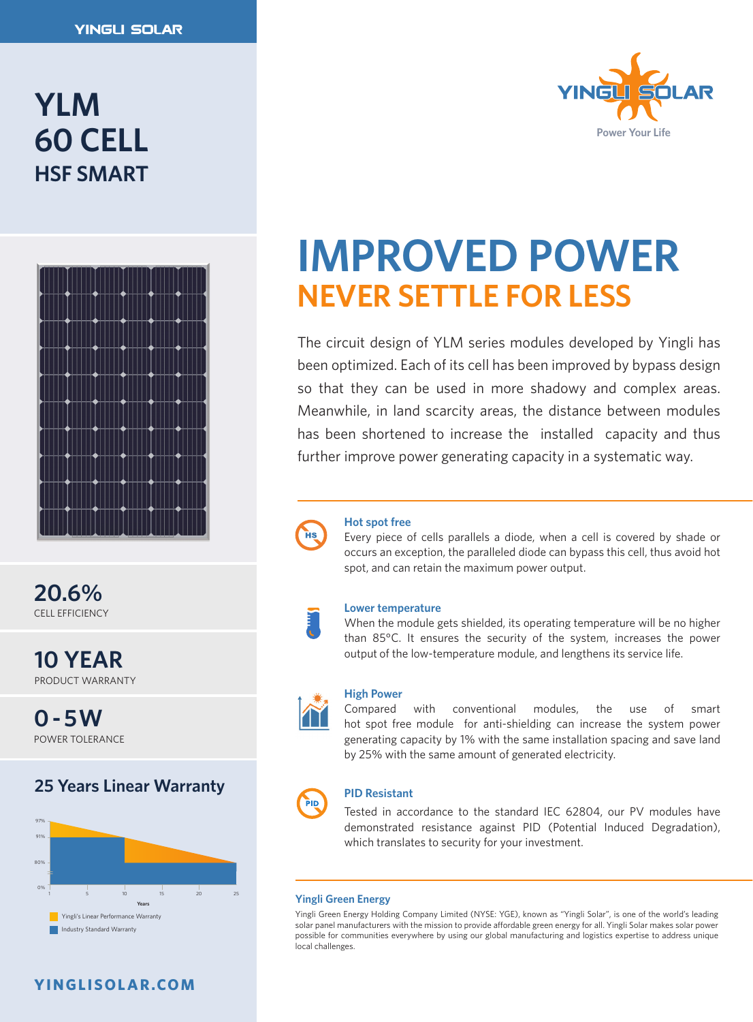# **YLM 60 CELL HSF SMART**



**20.6%** CELL EFFICIENCY

**10 YEAR** PRODUCT WARRANTY

**0 - 5W** POWER TOLERANCE

# **25 Years Linear Warranty**



# **YINGLISOLAR.COM**



# **IMPROVED POWER NEVER SETTLE FOR LESS**

The circuit design of YLM series modules developed by Yingli has been optimized. Each of its cell has been improved by bypass design so that they can be used in more shadowy and complex areas. Meanwhile, in land scarcity areas, the distance between modules has been shortened to increase the installed capacity and thus further improve power generating capacity in a systematic way.



### **Hot spot free**

Every piece of cells parallels a diode, when a cell is covered by shade or occurs an exception, the paralleled diode can bypass this cell, thus avoid hot spot, and can retain the maximum power output.

### **Lower temperature**

When the module gets shielded, its operating temperature will be no higher than 85°C. It ensures the security of the system, increases the power output of the low-temperature module, and lengthens its service life.



### **High Power**

Compared with conventional modules, the use of smart hot spot free module for anti-shielding can increase the system power generating capacity by 1% with the same installation spacing and save land by 25% with the same amount of generated electricity.

# PID

### **PID Resistant**

Tested in accordance to the standard IEC 62804, our PV modules have demonstrated resistance against PID (Potential Induced Degradation), which translates to security for your investment.

#### **Yingli Green Energy**

Yingli Green Energy Holding Company Limited (NYSE: YGE), known as "Yingli Solar", is one of the world's leading solar panel manufacturers with the mission to provide affordable green energy for all. Yingli Solar makes solar power possible for communities everywhere by using our global manufacturing and logistics expertise to address unique local challenges.